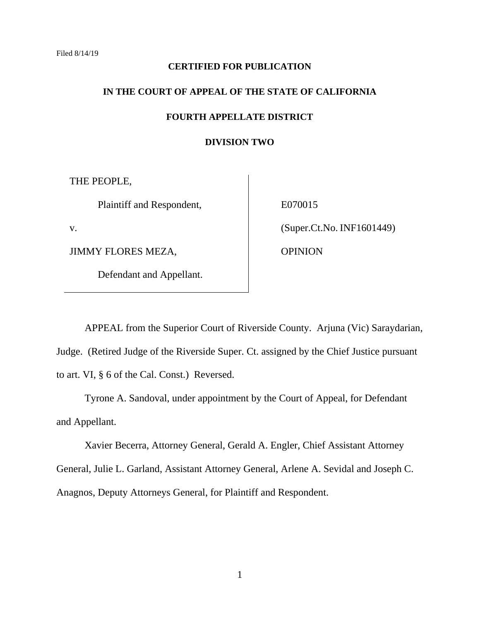# **CERTIFIED FOR PUBLICATION**

# **IN THE COURT OF APPEAL OF THE STATE OF CALIFORNIA FOURTH APPELLATE DISTRICT**

# **DIVISION TWO**

THE PEOPLE,

Plaintiff and Respondent,

v.

JIMMY FLORES MEZA,

Defendant and Appellant.

E070015

(Super.Ct.No. INF1601449)

**OPINION** 

APPEAL from the Superior Court of Riverside County. Arjuna (Vic) Saraydarian, Judge. (Retired Judge of the Riverside Super. Ct. assigned by the Chief Justice pursuant to art. VI, § 6 of the Cal. Const.) Reversed.

Tyrone A. Sandoval, under appointment by the Court of Appeal, for Defendant and Appellant.

Xavier Becerra, Attorney General, Gerald A. Engler, Chief Assistant Attorney General, Julie L. Garland, Assistant Attorney General, Arlene A. Sevidal and Joseph C. Anagnos, Deputy Attorneys General, for Plaintiff and Respondent.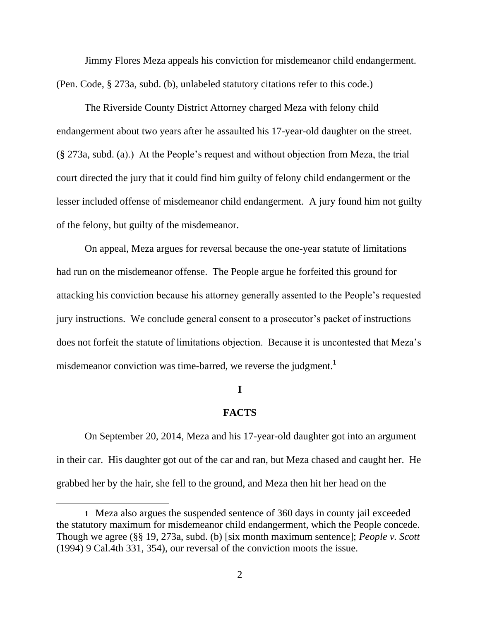Jimmy Flores Meza appeals his conviction for misdemeanor child endangerment. (Pen. Code, § 273a, subd. (b), unlabeled statutory citations refer to this code.)

The Riverside County District Attorney charged Meza with felony child endangerment about two years after he assaulted his 17-year-old daughter on the street. (§ 273a, subd. (a).) At the People's request and without objection from Meza, the trial court directed the jury that it could find him guilty of felony child endangerment or the lesser included offense of misdemeanor child endangerment. A jury found him not guilty of the felony, but guilty of the misdemeanor.

On appeal, Meza argues for reversal because the one-year statute of limitations had run on the misdemeanor offense. The People argue he forfeited this ground for attacking his conviction because his attorney generally assented to the People's requested jury instructions. We conclude general consent to a prosecutor's packet of instructions does not forfeit the statute of limitations objection. Because it is uncontested that Meza's misdemeanor conviction was time-barred, we reverse the judgment.**<sup>1</sup>**

#### **I**

#### **FACTS**

On September 20, 2014, Meza and his 17-year-old daughter got into an argument in their car. His daughter got out of the car and ran, but Meza chased and caught her. He grabbed her by the hair, she fell to the ground, and Meza then hit her head on the

l

**<sup>1</sup>** Meza also argues the suspended sentence of 360 days in county jail exceeded the statutory maximum for misdemeanor child endangerment, which the People concede. Though we agree (§§ 19, 273a, subd. (b) [six month maximum sentence]; *People v. Scott*  (1994) 9 Cal.4th 331, 354), our reversal of the conviction moots the issue.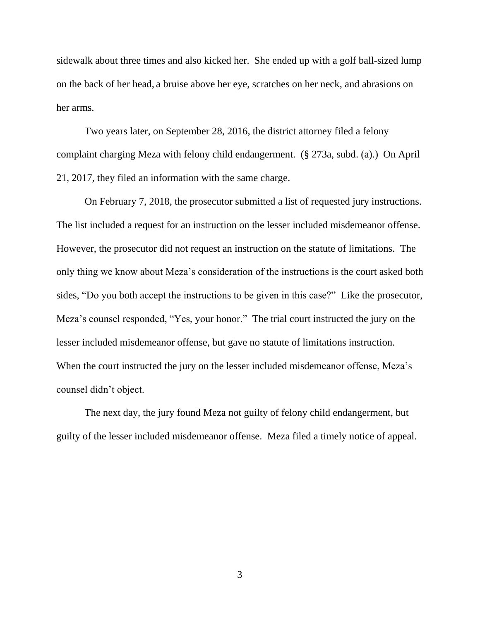sidewalk about three times and also kicked her. She ended up with a golf ball-sized lump on the back of her head, a bruise above her eye, scratches on her neck, and abrasions on her arms.

Two years later, on September 28, 2016, the district attorney filed a felony complaint charging Meza with felony child endangerment. (§ 273a, subd. (a).) On April 21, 2017, they filed an information with the same charge.

On February 7, 2018, the prosecutor submitted a list of requested jury instructions. The list included a request for an instruction on the lesser included misdemeanor offense. However, the prosecutor did not request an instruction on the statute of limitations. The only thing we know about Meza's consideration of the instructions is the court asked both sides, "Do you both accept the instructions to be given in this case?" Like the prosecutor, Meza's counsel responded, "Yes, your honor." The trial court instructed the jury on the lesser included misdemeanor offense, but gave no statute of limitations instruction. When the court instructed the jury on the lesser included misdemeanor offense, Meza's counsel didn't object.

The next day, the jury found Meza not guilty of felony child endangerment, but guilty of the lesser included misdemeanor offense. Meza filed a timely notice of appeal.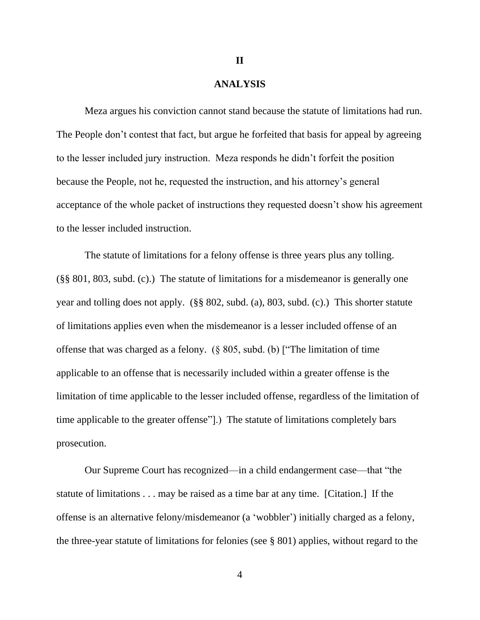#### **ANALYSIS**

Meza argues his conviction cannot stand because the statute of limitations had run. The People don't contest that fact, but argue he forfeited that basis for appeal by agreeing to the lesser included jury instruction. Meza responds he didn't forfeit the position because the People, not he, requested the instruction, and his attorney's general acceptance of the whole packet of instructions they requested doesn't show his agreement to the lesser included instruction.

The statute of limitations for a felony offense is three years plus any tolling. (§§ 801, 803, subd. (c).) The statute of limitations for a misdemeanor is generally one year and tolling does not apply. (§§ 802, subd. (a), 803, subd. (c).) This shorter statute of limitations applies even when the misdemeanor is a lesser included offense of an offense that was charged as a felony. (§ 805, subd. (b) ["The limitation of time applicable to an offense that is necessarily included within a greater offense is the limitation of time applicable to the lesser included offense, regardless of the limitation of time applicable to the greater offense"].) The statute of limitations completely bars prosecution.

Our Supreme Court has recognized—in a child endangerment case—that "the statute of limitations . . . may be raised as a time bar at any time. [Citation.] If the offense is an alternative felony/misdemeanor (a 'wobbler') initially charged as a felony, the three-year statute of limitations for felonies (see § 801) applies, without regard to the

4

**II**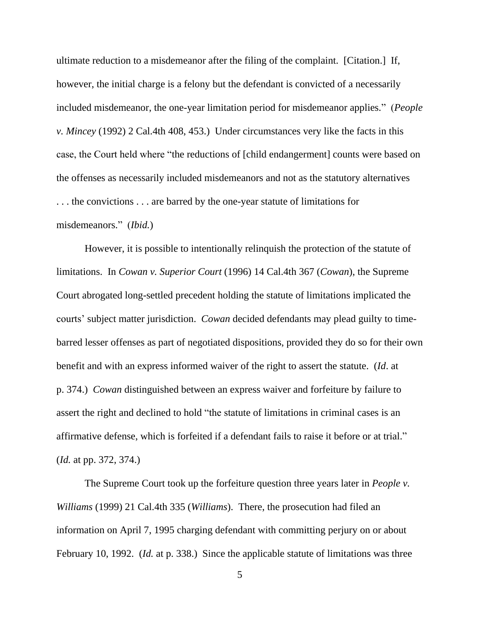ultimate reduction to a misdemeanor after the filing of the complaint. [Citation.] If, however, the initial charge is a felony but the defendant is convicted of a necessarily included misdemeanor, the one-year limitation period for misdemeanor applies." (*People v. Mincey* (1992) 2 Cal.4th 408, 453.) Under circumstances very like the facts in this case, the Court held where "the reductions of [child endangerment] counts were based on the offenses as necessarily included misdemeanors and not as the statutory alternatives . . . the convictions . . . are barred by the one-year statute of limitations for misdemeanors." (*Ibid.*)

However, it is possible to intentionally relinquish the protection of the statute of limitations. In *Cowan v. Superior Court* (1996) 14 Cal.4th 367 (*Cowan*), the Supreme Court abrogated long-settled precedent holding the statute of limitations implicated the courts' subject matter jurisdiction. *Cowan* decided defendants may plead guilty to timebarred lesser offenses as part of negotiated dispositions, provided they do so for their own benefit and with an express informed waiver of the right to assert the statute. (*Id*. at p. 374.) *Cowan* distinguished between an express waiver and forfeiture by failure to assert the right and declined to hold "the statute of limitations in criminal cases is an affirmative defense, which is forfeited if a defendant fails to raise it before or at trial." (*Id.* at pp. 372, 374.)

The Supreme Court took up the forfeiture question three years later in *People v. Williams* (1999) 21 Cal.4th 335 (*Williams*). There, the prosecution had filed an information on April 7, 1995 charging defendant with committing perjury on or about February 10, 1992. (*Id.* at p. 338.) Since the applicable statute of limitations was three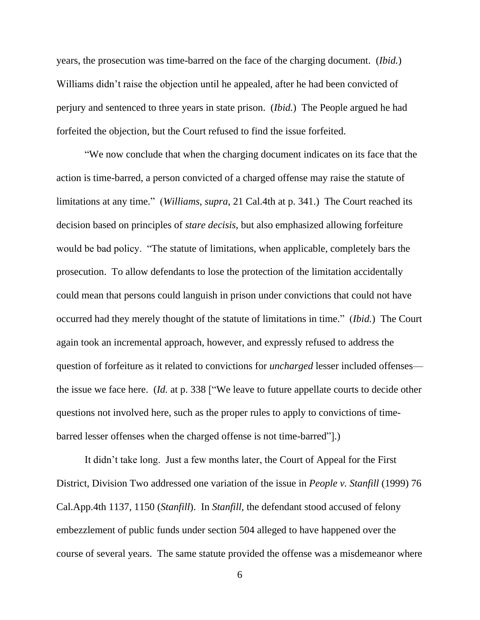years, the prosecution was time-barred on the face of the charging document. (*Ibid.*) Williams didn't raise the objection until he appealed, after he had been convicted of perjury and sentenced to three years in state prison. (*Ibid.*) The People argued he had forfeited the objection, but the Court refused to find the issue forfeited.

"We now conclude that when the charging document indicates on its face that the action is time-barred, a person convicted of a charged offense may raise the statute of limitations at any time." (*Williams*, *supra*, 21 Cal.4th at p. 341.) The Court reached its decision based on principles of *stare decisis*, but also emphasized allowing forfeiture would be bad policy. "The statute of limitations, when applicable, completely bars the prosecution. To allow defendants to lose the protection of the limitation accidentally could mean that persons could languish in prison under convictions that could not have occurred had they merely thought of the statute of limitations in time." (*Ibid.*) The Court again took an incremental approach, however, and expressly refused to address the question of forfeiture as it related to convictions for *uncharged* lesser included offenses the issue we face here. (*Id.* at p. 338 ["We leave to future appellate courts to decide other questions not involved here, such as the proper rules to apply to convictions of timebarred lesser offenses when the charged offense is not time-barred"].)

It didn't take long. Just a few months later, the Court of Appeal for the First District, Division Two addressed one variation of the issue in *People v. Stanfill* (1999) 76 Cal.App.4th 1137, 1150 (*Stanfill*). In *Stanfill*, the defendant stood accused of felony embezzlement of public funds under section 504 alleged to have happened over the course of several years. The same statute provided the offense was a misdemeanor where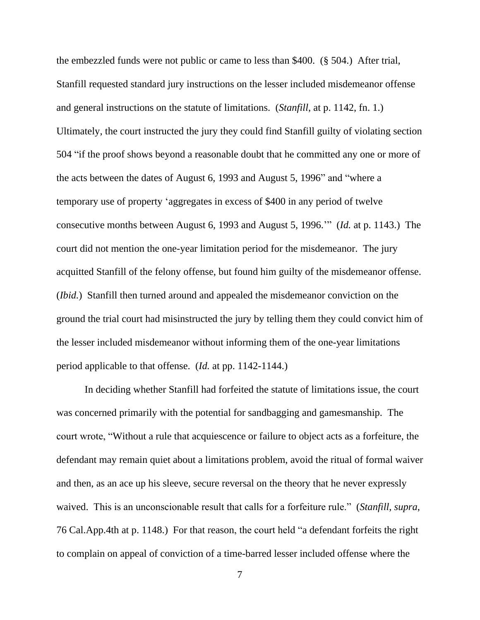the embezzled funds were not public or came to less than \$400. (§ 504.) After trial, Stanfill requested standard jury instructions on the lesser included misdemeanor offense and general instructions on the statute of limitations. (*Stanfill*, at p. 1142, fn. 1.) Ultimately, the court instructed the jury they could find Stanfill guilty of violating section 504 "if the proof shows beyond a reasonable doubt that he committed any one or more of the acts between the dates of August 6, 1993 and August 5, 1996" and "where a temporary use of property 'aggregates in excess of \$400 in any period of twelve consecutive months between August 6, 1993 and August 5, 1996.'" (*Id.* at p. 1143.) The court did not mention the one-year limitation period for the misdemeanor. The jury acquitted Stanfill of the felony offense, but found him guilty of the misdemeanor offense. (*Ibid.*) Stanfill then turned around and appealed the misdemeanor conviction on the ground the trial court had misinstructed the jury by telling them they could convict him of the lesser included misdemeanor without informing them of the one-year limitations period applicable to that offense. (*Id.* at pp. 1142-1144.)

In deciding whether Stanfill had forfeited the statute of limitations issue, the court was concerned primarily with the potential for sandbagging and gamesmanship. The court wrote, "Without a rule that acquiescence or failure to object acts as a forfeiture, the defendant may remain quiet about a limitations problem, avoid the ritual of formal waiver and then, as an ace up his sleeve, secure reversal on the theory that he never expressly waived. This is an unconscionable result that calls for a forfeiture rule." (*Stanfill*, *supra*, 76 Cal.App.4th at p. 1148.) For that reason, the court held "a defendant forfeits the right to complain on appeal of conviction of a time-barred lesser included offense where the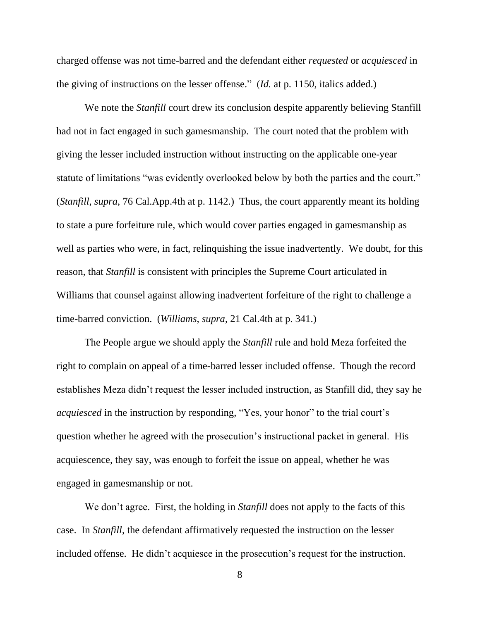charged offense was not time-barred and the defendant either *requested* or *acquiesced* in the giving of instructions on the lesser offense." (*Id.* at p. 1150, italics added.)

We note the *Stanfill* court drew its conclusion despite apparently believing Stanfill had not in fact engaged in such gamesmanship. The court noted that the problem with giving the lesser included instruction without instructing on the applicable one-year statute of limitations "was evidently overlooked below by both the parties and the court." (*Stanfill*, *supra*, 76 Cal.App.4th at p. 1142.) Thus, the court apparently meant its holding to state a pure forfeiture rule, which would cover parties engaged in gamesmanship as well as parties who were, in fact, relinquishing the issue inadvertently. We doubt, for this reason, that *Stanfill* is consistent with principles the Supreme Court articulated in Williams that counsel against allowing inadvertent forfeiture of the right to challenge a time-barred conviction. (*Williams*, *supra*, 21 Cal.4th at p. 341.)

The People argue we should apply the *Stanfill* rule and hold Meza forfeited the right to complain on appeal of a time-barred lesser included offense. Though the record establishes Meza didn't request the lesser included instruction, as Stanfill did, they say he *acquiesced* in the instruction by responding, "Yes, your honor" to the trial court's question whether he agreed with the prosecution's instructional packet in general. His acquiescence, they say, was enough to forfeit the issue on appeal, whether he was engaged in gamesmanship or not.

We don't agree. First, the holding in *Stanfill* does not apply to the facts of this case. In *Stanfill*, the defendant affirmatively requested the instruction on the lesser included offense. He didn't acquiesce in the prosecution's request for the instruction.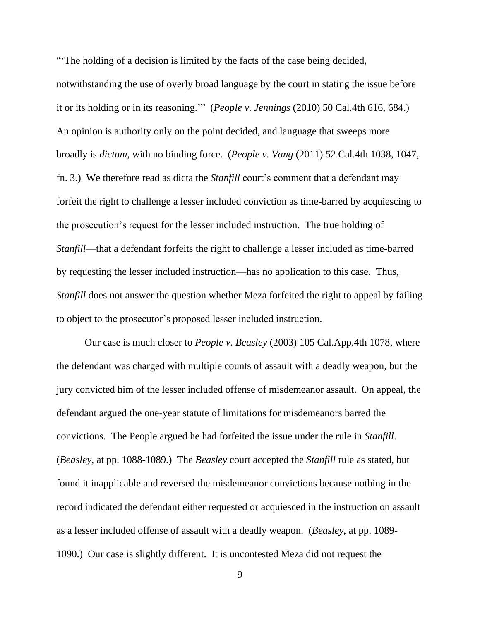"The holding of a decision is limited by the facts of the case being decided,

notwithstanding the use of overly broad language by the court in stating the issue before it or its holding or in its reasoning.'" (*People v. Jennings* (2010) 50 Cal.4th 616, 684.) An opinion is authority only on the point decided, and language that sweeps more broadly is *dictum*, with no binding force. (*People v. Vang* (2011) 52 Cal.4th 1038, 1047, fn. 3.) We therefore read as dicta the *Stanfill* court's comment that a defendant may forfeit the right to challenge a lesser included conviction as time-barred by acquiescing to the prosecution's request for the lesser included instruction. The true holding of *Stanfill*—that a defendant forfeits the right to challenge a lesser included as time-barred by requesting the lesser included instruction—has no application to this case. Thus, *Stanfill* does not answer the question whether Meza forfeited the right to appeal by failing to object to the prosecutor's proposed lesser included instruction.

Our case is much closer to *People v. Beasley* (2003) 105 Cal.App.4th 1078, where the defendant was charged with multiple counts of assault with a deadly weapon, but the jury convicted him of the lesser included offense of misdemeanor assault. On appeal, the defendant argued the one-year statute of limitations for misdemeanors barred the convictions. The People argued he had forfeited the issue under the rule in *Stanfill*. (*Beasley*, at pp. 1088-1089.) The *Beasley* court accepted the *Stanfill* rule as stated, but found it inapplicable and reversed the misdemeanor convictions because nothing in the record indicated the defendant either requested or acquiesced in the instruction on assault as a lesser included offense of assault with a deadly weapon. (*Beasley*, at pp. 1089- 1090.) Our case is slightly different. It is uncontested Meza did not request the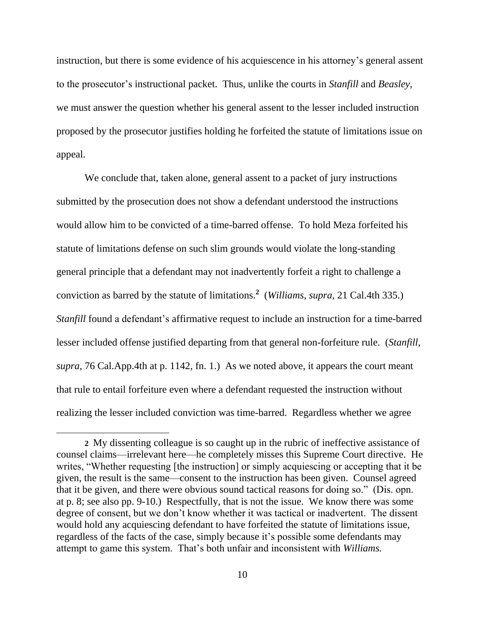instruction, but there is some evidence of his acquiescence in his attorney's general assent to the prosecutor's instructional packet. Thus, unlike the courts in *Stanfill* and *Beasley*, we must answer the question whether his general assent to the lesser included instruction proposed by the prosecutor justifies holding he forfeited the statute of limitations issue on appeal.

We conclude that, taken alone, general assent to a packet of jury instructions submitted by the prosecution does not show a defendant understood the instructions would allow him to be convicted of a time-barred offense. To hold Meza forfeited his statute of limitations defense on such slim grounds would violate the long-standing general principle that a defendant may not inadvertently forfeit a right to challenge a conviction as barred by the statute of limitations. **2** (*Williams*, *supra*, 21 Cal.4th 335.) *Stanfill* found a defendant's affirmative request to include an instruction for a time-barred lesser included offense justified departing from that general non-forfeiture rule. (*Stanfill*, *supra*, 76 Cal.App.4th at p. 1142, fn. 1.)As we noted above, it appears the court meant that rule to entail forfeiture even where a defendant requested the instruction without realizing the lesser included conviction was time-barred. Regardless whether we agree

 $\overline{\phantom{a}}$ 

**<sup>2</sup>** My dissenting colleague is so caught up in the rubric of ineffective assistance of counsel claims—irrelevant here—he completely misses this Supreme Court directive. He writes, "Whether requesting [the instruction] or simply acquiescing or accepting that it be given, the result is the same—consent to the instruction has been given. Counsel agreed that it be given, and there were obvious sound tactical reasons for doing so." (Dis. opn. at p. 8; see also pp. 9-10.) Respectfully, that is not the issue. We know there was some degree of consent, but we don't know whether it was tactical or inadvertent. The dissent would hold any acquiescing defendant to have forfeited the statute of limitations issue, regardless of the facts of the case, simply because it's possible some defendants may attempt to game this system. That's both unfair and inconsistent with *Williams.*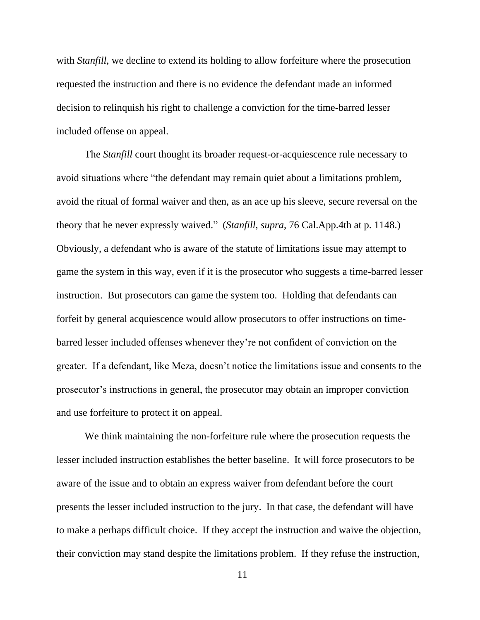with *Stanfill*, we decline to extend its holding to allow forfeiture where the prosecution requested the instruction and there is no evidence the defendant made an informed decision to relinquish his right to challenge a conviction for the time-barred lesser included offense on appeal.

The *Stanfill* court thought its broader request-or-acquiescence rule necessary to avoid situations where "the defendant may remain quiet about a limitations problem, avoid the ritual of formal waiver and then, as an ace up his sleeve, secure reversal on the theory that he never expressly waived." (*Stanfill*, *supra*, 76 Cal.App.4th at p. 1148.) Obviously, a defendant who is aware of the statute of limitations issue may attempt to game the system in this way, even if it is the prosecutor who suggests a time-barred lesser instruction. But prosecutors can game the system too. Holding that defendants can forfeit by general acquiescence would allow prosecutors to offer instructions on timebarred lesser included offenses whenever they're not confident of conviction on the greater. If a defendant, like Meza, doesn't notice the limitations issue and consents to the prosecutor's instructions in general, the prosecutor may obtain an improper conviction and use forfeiture to protect it on appeal.

We think maintaining the non-forfeiture rule where the prosecution requests the lesser included instruction establishes the better baseline. It will force prosecutors to be aware of the issue and to obtain an express waiver from defendant before the court presents the lesser included instruction to the jury. In that case, the defendant will have to make a perhaps difficult choice. If they accept the instruction and waive the objection, their conviction may stand despite the limitations problem. If they refuse the instruction,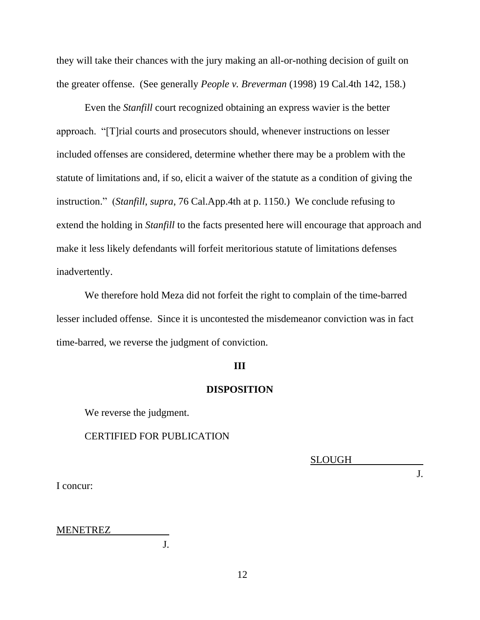they will take their chances with the jury making an all-or-nothing decision of guilt on the greater offense. (See generally *People v. Breverman* (1998) 19 Cal.4th 142, 158.)

Even the *Stanfill* court recognized obtaining an express wavier is the better approach. "[T]rial courts and prosecutors should, whenever instructions on lesser included offenses are considered, determine whether there may be a problem with the statute of limitations and, if so, elicit a waiver of the statute as a condition of giving the instruction." (*Stanfill*, *supra*, 76 Cal.App.4th at p. 1150.) We conclude refusing to extend the holding in *Stanfill* to the facts presented here will encourage that approach and make it less likely defendants will forfeit meritorious statute of limitations defenses inadvertently.

We therefore hold Meza did not forfeit the right to complain of the time-barred lesser included offense. Since it is uncontested the misdemeanor conviction was in fact time-barred, we reverse the judgment of conviction.

#### **III**

### **DISPOSITION**

We reverse the judgment.

### CERTIFIED FOR PUBLICATION

SLOUGH

J.

I concur:

# MENETREZ

J.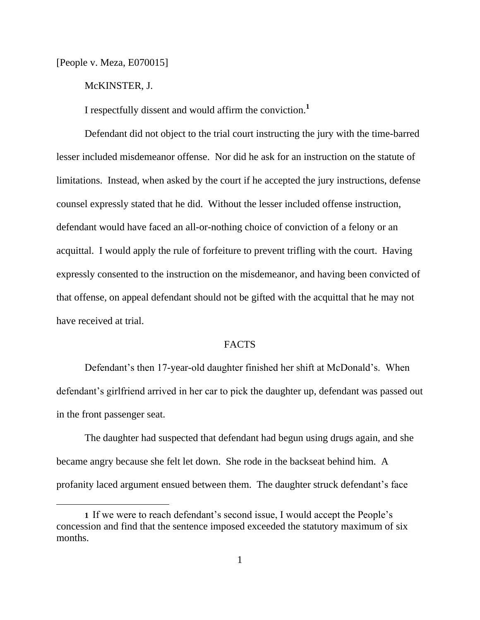[People v. Meza, E070015]

l

# McKINSTER, J.

I respectfully dissent and would affirm the conviction.**<sup>1</sup>**

Defendant did not object to the trial court instructing the jury with the time-barred lesser included misdemeanor offense. Nor did he ask for an instruction on the statute of limitations. Instead, when asked by the court if he accepted the jury instructions, defense counsel expressly stated that he did. Without the lesser included offense instruction, defendant would have faced an all-or-nothing choice of conviction of a felony or an acquittal. I would apply the rule of forfeiture to prevent trifling with the court. Having expressly consented to the instruction on the misdemeanor, and having been convicted of that offense, on appeal defendant should not be gifted with the acquittal that he may not have received at trial.

# **FACTS**

Defendant's then 17-year-old daughter finished her shift at McDonald's. When defendant's girlfriend arrived in her car to pick the daughter up, defendant was passed out in the front passenger seat.

The daughter had suspected that defendant had begun using drugs again, and she became angry because she felt let down. She rode in the backseat behind him. A profanity laced argument ensued between them. The daughter struck defendant's face

**<sup>1</sup>** If we were to reach defendant's second issue, I would accept the People's concession and find that the sentence imposed exceeded the statutory maximum of six months.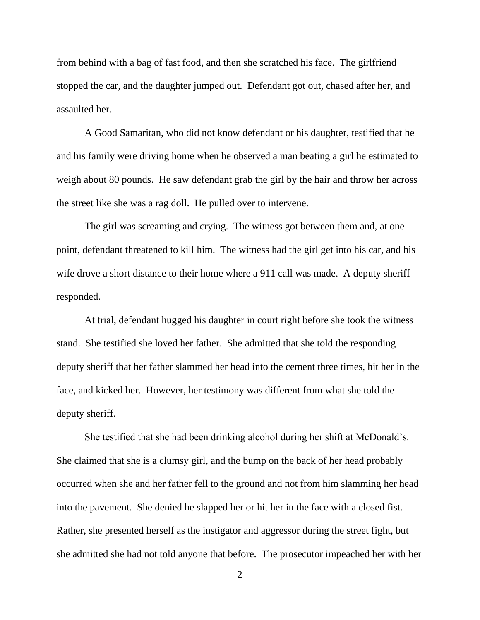from behind with a bag of fast food, and then she scratched his face. The girlfriend stopped the car, and the daughter jumped out. Defendant got out, chased after her, and assaulted her.

A Good Samaritan, who did not know defendant or his daughter, testified that he and his family were driving home when he observed a man beating a girl he estimated to weigh about 80 pounds. He saw defendant grab the girl by the hair and throw her across the street like she was a rag doll. He pulled over to intervene.

The girl was screaming and crying. The witness got between them and, at one point, defendant threatened to kill him. The witness had the girl get into his car, and his wife drove a short distance to their home where a 911 call was made. A deputy sheriff responded.

At trial, defendant hugged his daughter in court right before she took the witness stand. She testified she loved her father. She admitted that she told the responding deputy sheriff that her father slammed her head into the cement three times, hit her in the face, and kicked her. However, her testimony was different from what she told the deputy sheriff.

She testified that she had been drinking alcohol during her shift at McDonald's. She claimed that she is a clumsy girl, and the bump on the back of her head probably occurred when she and her father fell to the ground and not from him slamming her head into the pavement. She denied he slapped her or hit her in the face with a closed fist. Rather, she presented herself as the instigator and aggressor during the street fight, but she admitted she had not told anyone that before. The prosecutor impeached her with her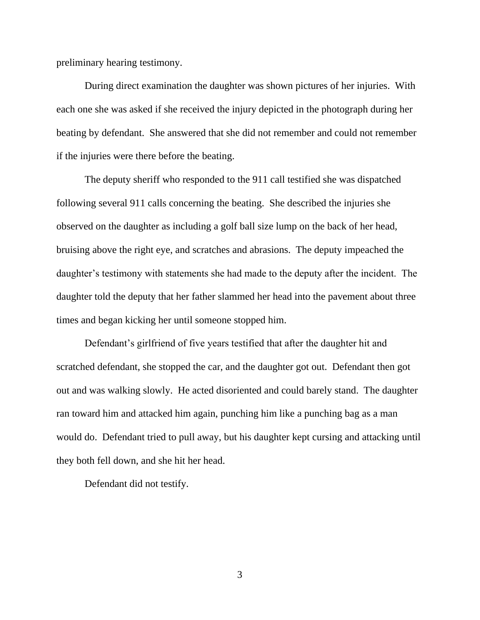preliminary hearing testimony.

During direct examination the daughter was shown pictures of her injuries. With each one she was asked if she received the injury depicted in the photograph during her beating by defendant. She answered that she did not remember and could not remember if the injuries were there before the beating.

The deputy sheriff who responded to the 911 call testified she was dispatched following several 911 calls concerning the beating. She described the injuries she observed on the daughter as including a golf ball size lump on the back of her head, bruising above the right eye, and scratches and abrasions. The deputy impeached the daughter's testimony with statements she had made to the deputy after the incident. The daughter told the deputy that her father slammed her head into the pavement about three times and began kicking her until someone stopped him.

Defendant's girlfriend of five years testified that after the daughter hit and scratched defendant, she stopped the car, and the daughter got out. Defendant then got out and was walking slowly. He acted disoriented and could barely stand. The daughter ran toward him and attacked him again, punching him like a punching bag as a man would do. Defendant tried to pull away, but his daughter kept cursing and attacking until they both fell down, and she hit her head.

Defendant did not testify.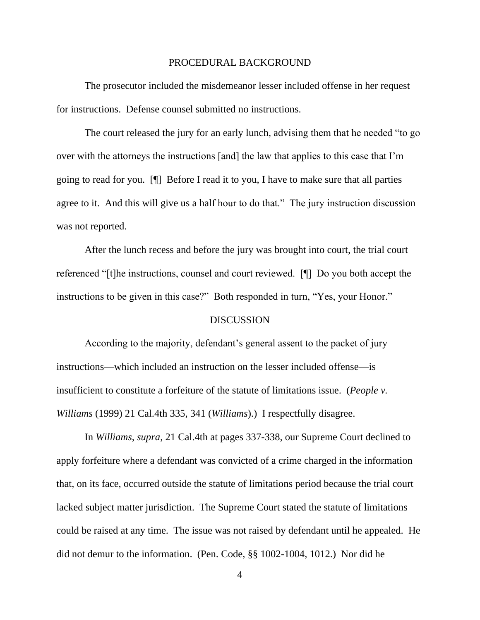#### PROCEDURAL BACKGROUND

The prosecutor included the misdemeanor lesser included offense in her request for instructions. Defense counsel submitted no instructions.

The court released the jury for an early lunch, advising them that he needed "to go over with the attorneys the instructions [and] the law that applies to this case that I'm going to read for you. [¶] Before I read it to you, I have to make sure that all parties agree to it. And this will give us a half hour to do that." The jury instruction discussion was not reported.

After the lunch recess and before the jury was brought into court, the trial court referenced "[t]he instructions, counsel and court reviewed. [¶] Do you both accept the instructions to be given in this case?" Both responded in turn, "Yes, your Honor."

### DISCUSSION

According to the majority, defendant's general assent to the packet of jury instructions—which included an instruction on the lesser included offense—is insufficient to constitute a forfeiture of the statute of limitations issue. (*People v. Williams* (1999) 21 Cal.4th 335, 341 (*Williams*).) I respectfully disagree.

In *Williams*, *supra*, 21 Cal.4th at pages 337-338, our Supreme Court declined to apply forfeiture where a defendant was convicted of a crime charged in the information that, on its face, occurred outside the statute of limitations period because the trial court lacked subject matter jurisdiction. The Supreme Court stated the statute of limitations could be raised at any time. The issue was not raised by defendant until he appealed. He did not demur to the information. (Pen. Code, §§ 1002-1004, 1012.) Nor did he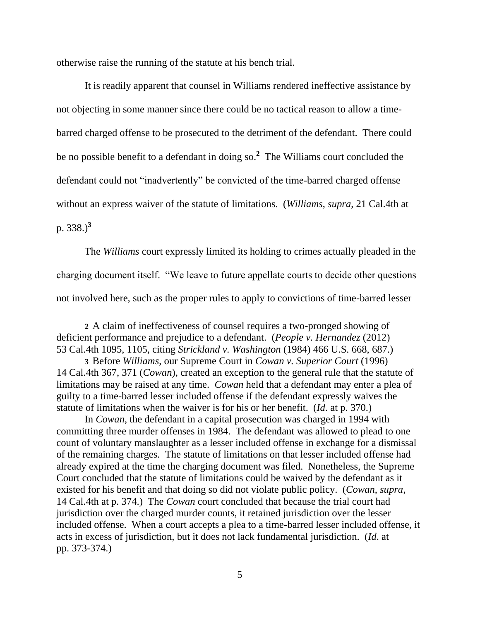otherwise raise the running of the statute at his bench trial.

It is readily apparent that counsel in Williams rendered ineffective assistance by not objecting in some manner since there could be no tactical reason to allow a timebarred charged offense to be prosecuted to the detriment of the defendant. There could be no possible benefit to a defendant in doing so.**<sup>2</sup>** The Williams court concluded the defendant could not "inadvertently" be convicted of the time-barred charged offense without an express waiver of the statute of limitations. (*Williams*, *supra*, 21 Cal.4th at

p. 338.)**<sup>3</sup>**

l

The *Williams* court expressly limited its holding to crimes actually pleaded in the charging document itself. "We leave to future appellate courts to decide other questions not involved here, such as the proper rules to apply to convictions of time-barred lesser

In *Cowan*, the defendant in a capital prosecution was charged in 1994 with committing three murder offenses in 1984. The defendant was allowed to plead to one count of voluntary manslaughter as a lesser included offense in exchange for a dismissal of the remaining charges. The statute of limitations on that lesser included offense had already expired at the time the charging document was filed. Nonetheless, the Supreme Court concluded that the statute of limitations could be waived by the defendant as it existed for his benefit and that doing so did not violate public policy. (*Cowan*, *supra*, 14 Cal.4th at p. 374.) The *Cowan* court concluded that because the trial court had jurisdiction over the charged murder counts, it retained jurisdiction over the lesser included offense. When a court accepts a plea to a time-barred lesser included offense, it acts in excess of jurisdiction, but it does not lack fundamental jurisdiction. (*Id*. at pp. 373-374.)

**<sup>2</sup>** A claim of ineffectiveness of counsel requires a two-pronged showing of deficient performance and prejudice to a defendant. (*People v. Hernandez* (2012) 53 Cal.4th 1095, 1105, citing *Strickland v. Washington* (1984) 466 U.S. 668, 687.)

**<sup>3</sup>** Before *Williams*, our Supreme Court in *Cowan v. Superior Court* (1996) 14 Cal.4th 367, 371 (*Cowan*), created an exception to the general rule that the statute of limitations may be raised at any time. *Cowan* held that a defendant may enter a plea of guilty to a time-barred lesser included offense if the defendant expressly waives the statute of limitations when the waiver is for his or her benefit. (*Id*. at p. 370.)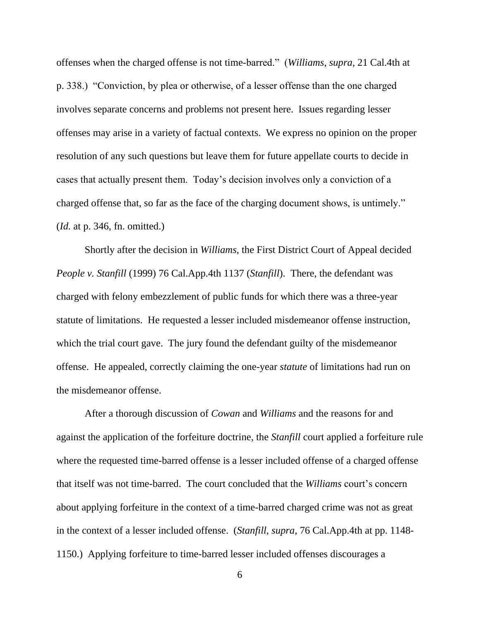offenses when the charged offense is not time-barred." (*Williams*, *supra*, 21 Cal.4th at p. 338.) "Conviction, by plea or otherwise, of a lesser offense than the one charged involves separate concerns and problems not present here. Issues regarding lesser offenses may arise in a variety of factual contexts. We express no opinion on the proper resolution of any such questions but leave them for future appellate courts to decide in cases that actually present them. Today's decision involves only a conviction of a charged offense that, so far as the face of the charging document shows, is untimely." (*Id.* at p. 346, fn. omitted.)

Shortly after the decision in *Williams*, the First District Court of Appeal decided *People v. Stanfill* (1999) 76 Cal.App.4th 1137 (*Stanfill*). There, the defendant was charged with felony embezzlement of public funds for which there was a three-year statute of limitations. He requested a lesser included misdemeanor offense instruction, which the trial court gave. The jury found the defendant guilty of the misdemeanor offense. He appealed, correctly claiming the one-year *statute* of limitations had run on the misdemeanor offense.

After a thorough discussion of *Cowan* and *Williams* and the reasons for and against the application of the forfeiture doctrine, the *Stanfill* court applied a forfeiture rule where the requested time-barred offense is a lesser included offense of a charged offense that itself was not time-barred. The court concluded that the *Williams* court's concern about applying forfeiture in the context of a time-barred charged crime was not as great in the context of a lesser included offense. (*Stanfill*, *supra*, 76 Cal.App.4th at pp. 1148- 1150.) Applying forfeiture to time-barred lesser included offenses discourages a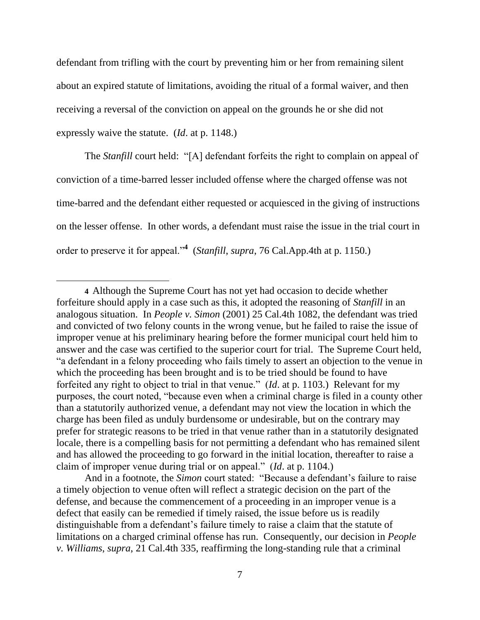defendant from trifling with the court by preventing him or her from remaining silent about an expired statute of limitations, avoiding the ritual of a formal waiver, and then receiving a reversal of the conviction on appeal on the grounds he or she did not expressly waive the statute. (*Id*. at p. 1148.)

The *Stanfill* court held: "[A] defendant forfeits the right to complain on appeal of conviction of a time-barred lesser included offense where the charged offense was not time-barred and the defendant either requested or acquiesced in the giving of instructions on the lesser offense. In other words, a defendant must raise the issue in the trial court in order to preserve it for appeal."**<sup>4</sup>** (*Stanfill*, *supra*, 76 Cal.App.4th at p. 1150.)

l

And in a footnote, the *Simon* court stated: "Because a defendant's failure to raise a timely objection to venue often will reflect a strategic decision on the part of the defense, and because the commencement of a proceeding in an improper venue is a defect that easily can be remedied if timely raised, the issue before us is readily distinguishable from a defendant's failure timely to raise a claim that the statute of limitations on a charged criminal offense has run. Consequently, our decision in *People v. Williams*, *supra*, 21 Cal.4th 335, reaffirming the long-standing rule that a criminal

**<sup>4</sup>** Although the Supreme Court has not yet had occasion to decide whether forfeiture should apply in a case such as this, it adopted the reasoning of *Stanfill* in an analogous situation. In *People v. Simon* (2001) 25 Cal.4th 1082, the defendant was tried and convicted of two felony counts in the wrong venue, but he failed to raise the issue of improper venue at his preliminary hearing before the former municipal court held him to answer and the case was certified to the superior court for trial. The Supreme Court held, "a defendant in a felony proceeding who fails timely to assert an objection to the venue in which the proceeding has been brought and is to be tried should be found to have forfeited any right to object to trial in that venue." (*Id*. at p. 1103.) Relevant for my purposes, the court noted, "because even when a criminal charge is filed in a county other than a statutorily authorized venue, a defendant may not view the location in which the charge has been filed as unduly burdensome or undesirable, but on the contrary may prefer for strategic reasons to be tried in that venue rather than in a statutorily designated locale, there is a compelling basis for not permitting a defendant who has remained silent and has allowed the proceeding to go forward in the initial location, thereafter to raise a claim of improper venue during trial or on appeal." (*Id*. at p. 1104.)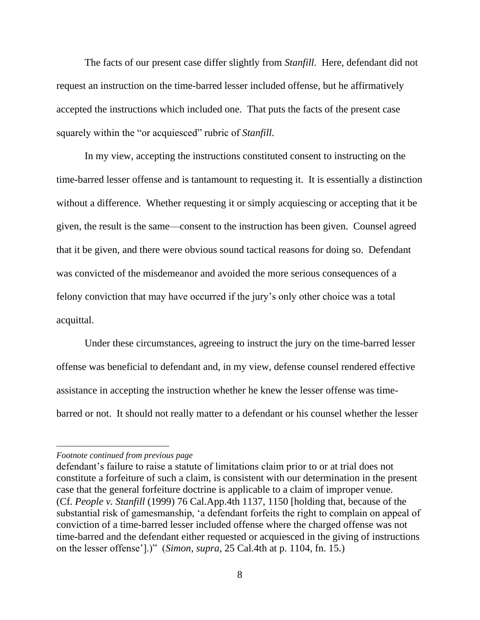The facts of our present case differ slightly from *Stanfill*. Here, defendant did not request an instruction on the time-barred lesser included offense, but he affirmatively accepted the instructions which included one. That puts the facts of the present case squarely within the "or acquiesced" rubric of *Stanfill*.

In my view, accepting the instructions constituted consent to instructing on the time-barred lesser offense and is tantamount to requesting it. It is essentially a distinction without a difference. Whether requesting it or simply acquiescing or accepting that it be given, the result is the same—consent to the instruction has been given. Counsel agreed that it be given, and there were obvious sound tactical reasons for doing so. Defendant was convicted of the misdemeanor and avoided the more serious consequences of a felony conviction that may have occurred if the jury's only other choice was a total acquittal.

Under these circumstances, agreeing to instruct the jury on the time-barred lesser offense was beneficial to defendant and, in my view, defense counsel rendered effective assistance in accepting the instruction whether he knew the lesser offense was timebarred or not. It should not really matter to a defendant or his counsel whether the lesser

 $\overline{\phantom{a}}$ 

*Footnote continued from previous page*

defendant's failure to raise a statute of limitations claim prior to or at trial does not constitute a forfeiture of such a claim, is consistent with our determination in the present case that the general forfeiture doctrine is applicable to a claim of improper venue. (Cf. *People v. Stanfill* (1999) 76 Cal.App.4th 1137, 1150 [holding that, because of the substantial risk of gamesmanship, 'a defendant forfeits the right to complain on appeal of conviction of a time-barred lesser included offense where the charged offense was not time-barred and the defendant either requested or acquiesced in the giving of instructions on the lesser offense'].)" (*Simon*, *supra*, 25 Cal.4th at p. 1104, fn. 15.)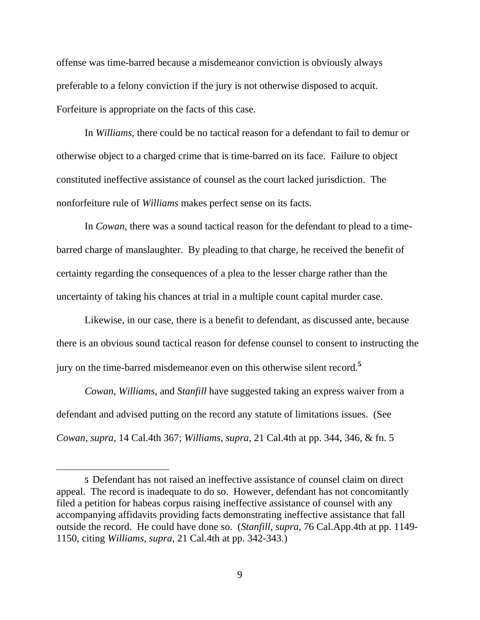offense was time-barred because a misdemeanor conviction is obviously always preferable to a felony conviction if the jury is not otherwise disposed to acquit. Forfeiture is appropriate on the facts of this case.

In *Williams*, there could be no tactical reason for a defendant to fail to demur or otherwise object to a charged crime that is time-barred on its face. Failure to object constituted ineffective assistance of counsel as the court lacked jurisdiction. The nonforfeiture rule of *Williams* makes perfect sense on its facts.

In *Cowan*, there was a sound tactical reason for the defendant to plead to a timebarred charge of manslaughter. By pleading to that charge, he received the benefit of certainty regarding the consequences of a plea to the lesser charge rather than the uncertainty of taking his chances at trial in a multiple count capital murder case.

Likewise, in our case, there is a benefit to defendant, as discussed ante, because there is an obvious sound tactical reason for defense counsel to consent to instructing the jury on the time-barred misdemeanor even on this otherwise silent record.**<sup>5</sup>**

*Cowan*, *Williams*, and *Stanfill* have suggested taking an express waiver from a defendant and advised putting on the record any statute of limitations issues. (See *Cowan*, *supra*, 14 Cal.4th 367; *Williams*, *supra*, 21 Cal.4th at pp. 344, 346, & fn. 5

l

**<sup>5</sup>** Defendant has not raised an ineffective assistance of counsel claim on direct appeal. The record is inadequate to do so. However, defendant has not concomitantly filed a petition for habeas corpus raising ineffective assistance of counsel with any accompanying affidavits providing facts demonstrating ineffective assistance that fall outside the record. He could have done so. (*Stanfill*, *supra*, 76 Cal.App.4th at pp. 1149- 1150, citing *Williams*, *supra*, 21 Cal.4th at pp. 342-343.)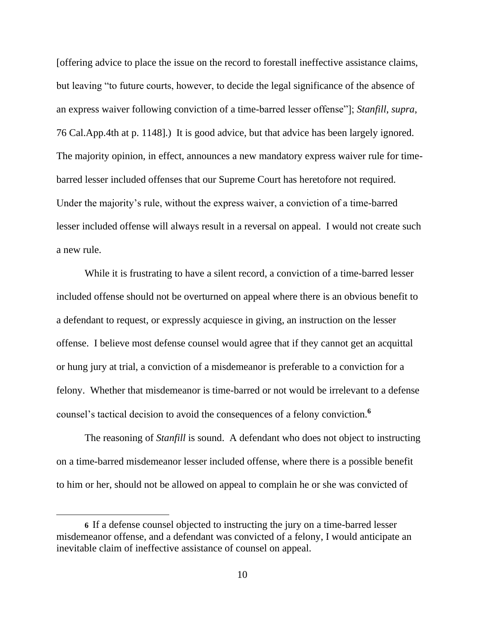[offering advice to place the issue on the record to forestall ineffective assistance claims, but leaving "to future courts, however, to decide the legal significance of the absence of an express waiver following conviction of a time-barred lesser offense"]; *Stanfill*, *supra*, 76 Cal.App.4th at p. 1148].) It is good advice, but that advice has been largely ignored. The majority opinion, in effect, announces a new mandatory express waiver rule for timebarred lesser included offenses that our Supreme Court has heretofore not required. Under the majority's rule, without the express waiver, a conviction of a time-barred lesser included offense will always result in a reversal on appeal. I would not create such a new rule.

While it is frustrating to have a silent record, a conviction of a time-barred lesser included offense should not be overturned on appeal where there is an obvious benefit to a defendant to request, or expressly acquiesce in giving, an instruction on the lesser offense. I believe most defense counsel would agree that if they cannot get an acquittal or hung jury at trial, a conviction of a misdemeanor is preferable to a conviction for a felony. Whether that misdemeanor is time-barred or not would be irrelevant to a defense counsel's tactical decision to avoid the consequences of a felony conviction.**<sup>6</sup>**

The reasoning of *Stanfill* is sound. A defendant who does not object to instructing on a time-barred misdemeanor lesser included offense, where there is a possible benefit to him or her, should not be allowed on appeal to complain he or she was convicted of

 $\overline{\phantom{a}}$ 

**<sup>6</sup>** If a defense counsel objected to instructing the jury on a time-barred lesser misdemeanor offense, and a defendant was convicted of a felony, I would anticipate an inevitable claim of ineffective assistance of counsel on appeal.